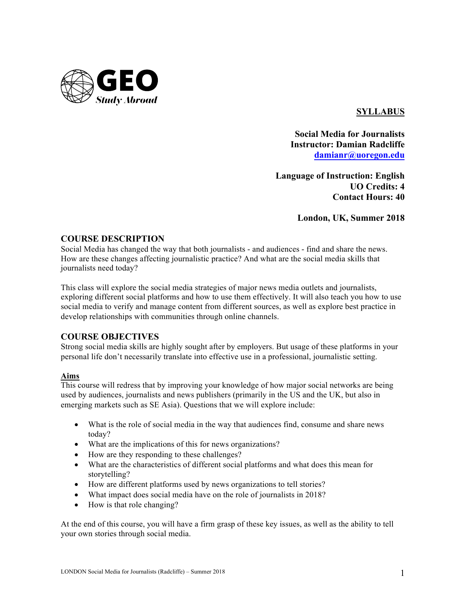

# **SYLLABUS**

**Social Media for Journalists Instructor: Damian Radcliffe damianr@uoregon.edu**

**Language of Instruction: English UO Credits: 4 Contact Hours: 40**

**London, UK, Summer 2018**

# **COURSE DESCRIPTION**

Social Media has changed the way that both journalists - and audiences - find and share the news. How are these changes affecting journalistic practice? And what are the social media skills that journalists need today?

This class will explore the social media strategies of major news media outlets and journalists, exploring different social platforms and how to use them effectively. It will also teach you how to use social media to verify and manage content from different sources, as well as explore best practice in develop relationships with communities through online channels.

# **COURSE OBJECTIVES**

Strong social media skills are highly sought after by employers. But usage of these platforms in your personal life don't necessarily translate into effective use in a professional, journalistic setting.

# **Aims**

This course will redress that by improving your knowledge of how major social networks are being used by audiences, journalists and news publishers (primarily in the US and the UK, but also in emerging markets such as SE Asia). Questions that we will explore include:

- What is the role of social media in the way that audiences find, consume and share news today?
- What are the implications of this for news organizations?
- How are they responding to these challenges?
- What are the characteristics of different social platforms and what does this mean for storytelling?
- How are different platforms used by news organizations to tell stories?
- What impact does social media have on the role of journalists in 2018?
- How is that role changing?

At the end of this course, you will have a firm grasp of these key issues, as well as the ability to tell your own stories through social media.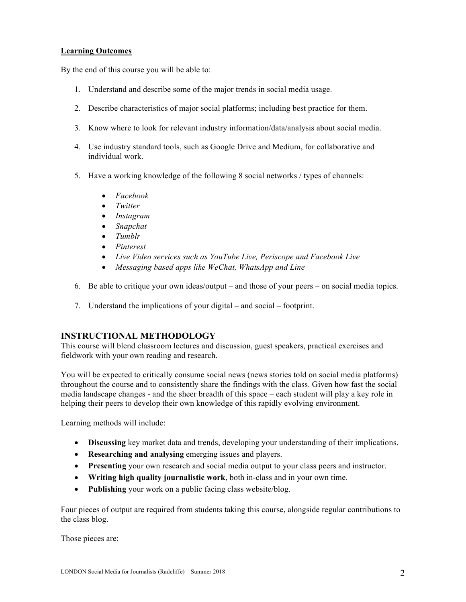### **Learning Outcomes**

By the end of this course you will be able to:

- 1. Understand and describe some of the major trends in social media usage.
- 2. Describe characteristics of major social platforms; including best practice for them.
- 3. Know where to look for relevant industry information/data/analysis about social media.
- 4. Use industry standard tools, such as Google Drive and Medium, for collaborative and individual work.
- 5. Have a working knowledge of the following 8 social networks / types of channels:
	- *Facebook*
	- *Twitter*
	- *Instagram*
	- *Snapchat*
	- *Tumblr*
	- *Pinterest*
	- *Live Video services such as YouTube Live, Periscope and Facebook Live*
	- *Messaging based apps like WeChat, WhatsApp and Line*
- 6. Be able to critique your own ideas/output and those of your peers on social media topics.
- 7. Understand the implications of your digital and social footprint.

# **INSTRUCTIONAL METHODOLOGY**

This course will blend classroom lectures and discussion, guest speakers, practical exercises and fieldwork with your own reading and research.

You will be expected to critically consume social news (news stories told on social media platforms) throughout the course and to consistently share the findings with the class. Given how fast the social media landscape changes - and the sheer breadth of this space – each student will play a key role in helping their peers to develop their own knowledge of this rapidly evolving environment.

Learning methods will include:

- **Discussing** key market data and trends, developing your understanding of their implications.
- **Researching and analysing** emerging issues and players.
- **Presenting** your own research and social media output to your class peers and instructor.
- **Writing high quality journalistic work**, both in-class and in your own time.
- **Publishing** your work on a public facing class website/blog.

Four pieces of output are required from students taking this course, alongside regular contributions to the class blog.

Those pieces are: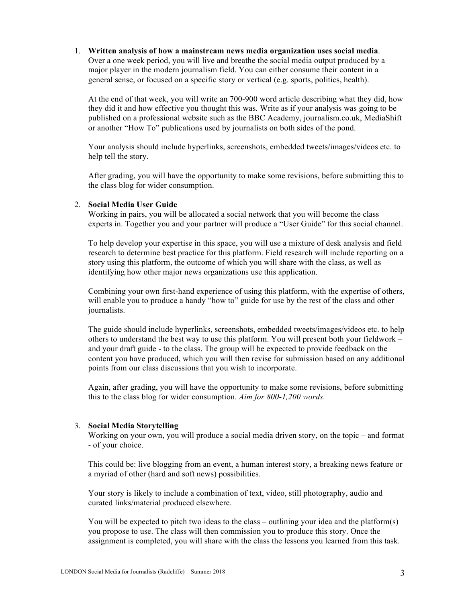1. **Written analysis of how a mainstream news media organization uses social media**. Over a one week period, you will live and breathe the social media output produced by a major player in the modern journalism field. You can either consume their content in a general sense, or focused on a specific story or vertical (e.g. sports, politics, health).

At the end of that week, you will write an 700-900 word article describing what they did, how they did it and how effective you thought this was. Write as if your analysis was going to be published on a professional website such as the BBC Academy, journalism.co.uk, MediaShift or another "How To" publications used by journalists on both sides of the pond.

Your analysis should include hyperlinks, screenshots, embedded tweets/images/videos etc. to help tell the story.

After grading, you will have the opportunity to make some revisions, before submitting this to the class blog for wider consumption.

#### 2. **Social Media User Guide**

Working in pairs, you will be allocated a social network that you will become the class experts in. Together you and your partner will produce a "User Guide" for this social channel.

To help develop your expertise in this space, you will use a mixture of desk analysis and field research to determine best practice for this platform. Field research will include reporting on a story using this platform, the outcome of which you will share with the class, as well as identifying how other major news organizations use this application.

Combining your own first-hand experience of using this platform, with the expertise of others, will enable you to produce a handy "how to" guide for use by the rest of the class and other journalists.

The guide should include hyperlinks, screenshots, embedded tweets/images/videos etc. to help others to understand the best way to use this platform. You will present both your fieldwork – and your draft guide - to the class. The group will be expected to provide feedback on the content you have produced, which you will then revise for submission based on any additional points from our class discussions that you wish to incorporate.

Again, after grading, you will have the opportunity to make some revisions, before submitting this to the class blog for wider consumption. *Aim for 800-1,200 words.*

### 3. **Social Media Storytelling**

Working on your own, you will produce a social media driven story, on the topic – and format - of your choice.

This could be: live blogging from an event, a human interest story, a breaking news feature or a myriad of other (hard and soft news) possibilities.

Your story is likely to include a combination of text, video, still photography, audio and curated links/material produced elsewhere.

You will be expected to pitch two ideas to the class – outlining your idea and the platform(s) you propose to use. The class will then commission you to produce this story. Once the assignment is completed, you will share with the class the lessons you learned from this task.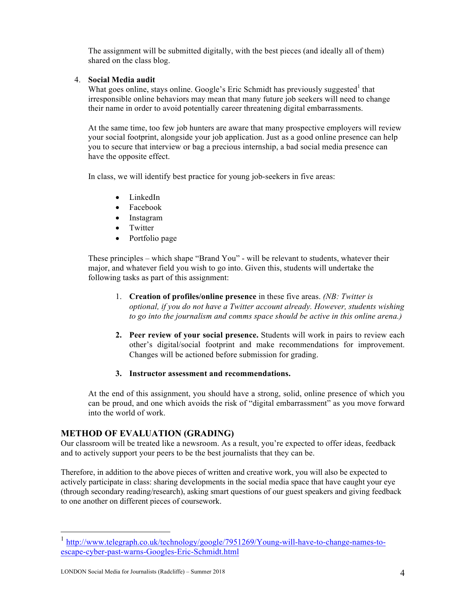The assignment will be submitted digitally, with the best pieces (and ideally all of them) shared on the class blog.

### 4. **Social Media audit**

What goes online, stays online. Google's Eric Schmidt has previously suggested that irresponsible online behaviors may mean that many future job seekers will need to change their name in order to avoid potentially career threatening digital embarrassments.

At the same time, too few job hunters are aware that many prospective employers will review your social footprint, alongside your job application. Just as a good online presence can help you to secure that interview or bag a precious internship, a bad social media presence can have the opposite effect.

In class, we will identify best practice for young job-seekers in five areas:

- LinkedIn
- Facebook
- Instagram
- Twitter
- Portfolio page

These principles – which shape "Brand You" - will be relevant to students, whatever their major, and whatever field you wish to go into. Given this, students will undertake the following tasks as part of this assignment:

- 1. **Creation of profiles/online presence** in these five areas. *(NB: Twitter is optional, if you do not have a Twitter account already. However, students wishing to go into the journalism and comms space should be active in this online arena.)*
- **2. Peer review of your social presence.** Students will work in pairs to review each other's digital/social footprint and make recommendations for improvement. Changes will be actioned before submission for grading.

### **3. Instructor assessment and recommendations.**

At the end of this assignment, you should have a strong, solid, online presence of which you can be proud, and one which avoids the risk of "digital embarrassment" as you move forward into the world of work.

# **METHOD OF EVALUATION (GRADING)**

Our classroom will be treated like a newsroom. As a result, you're expected to offer ideas, feedback and to actively support your peers to be the best journalists that they can be.

Therefore, in addition to the above pieces of written and creative work, you will also be expected to actively participate in class: sharing developments in the social media space that have caught your eye (through secondary reading/research), asking smart questions of our guest speakers and giving feedback to one another on different pieces of coursework.

 <sup>1</sup> http://www.telegraph.co.uk/technology/google/7951269/Young-will-have-to-change-names-toescape-cyber-past-warns-Googles-Eric-Schmidt.html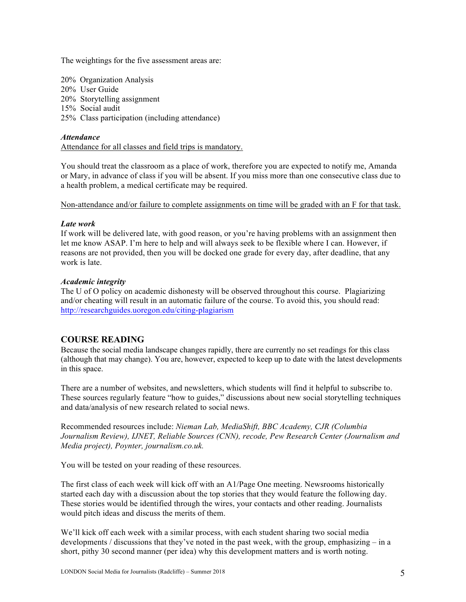The weightings for the five assessment areas are:

20% Organization Analysis 20% User Guide 20% Storytelling assignment 15% Social audit 25% Class participation (including attendance)

### *Attendance*

Attendance for all classes and field trips is mandatory.

You should treat the classroom as a place of work, therefore you are expected to notify me, Amanda or Mary, in advance of class if you will be absent. If you miss more than one consecutive class due to a health problem, a medical certificate may be required.

Non-attendance and/or failure to complete assignments on time will be graded with an F for that task.

#### *Late work*

If work will be delivered late, with good reason, or you're having problems with an assignment then let me know ASAP. I'm here to help and will always seek to be flexible where I can. However, if reasons are not provided, then you will be docked one grade for every day, after deadline, that any work is late.

#### *Academic integrity*

The U of O policy on academic dishonesty will be observed throughout this course. Plagiarizing and/or cheating will result in an automatic failure of the course. To avoid this, you should read: http://researchguides.uoregon.edu/citing-plagiarism

# **COURSE READING**

Because the social media landscape changes rapidly, there are currently no set readings for this class (although that may change). You are, however, expected to keep up to date with the latest developments in this space.

There are a number of websites, and newsletters, which students will find it helpful to subscribe to. These sources regularly feature "how to guides," discussions about new social storytelling techniques and data/analysis of new research related to social news.

Recommended resources include: *Nieman Lab, MediaShift, BBC Academy, CJR (Columbia Journalism Review), IJNET, Reliable Sources (CNN), recode, Pew Research Center (Journalism and Media project), Poynter, journalism.co.uk.*

You will be tested on your reading of these resources.

The first class of each week will kick off with an A1/Page One meeting. Newsrooms historically started each day with a discussion about the top stories that they would feature the following day. These stories would be identified through the wires, your contacts and other reading. Journalists would pitch ideas and discuss the merits of them.

We'll kick off each week with a similar process, with each student sharing two social media developments / discussions that they've noted in the past week, with the group, emphasizing – in a short, pithy 30 second manner (per idea) why this development matters and is worth noting.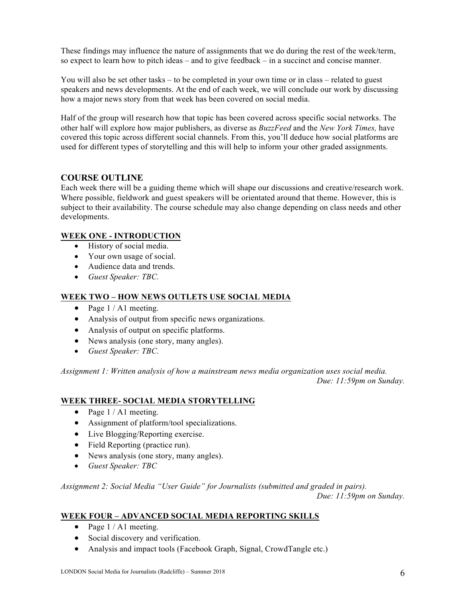These findings may influence the nature of assignments that we do during the rest of the week/term, so expect to learn how to pitch ideas – and to give feedback – in a succinct and concise manner.

You will also be set other tasks – to be completed in your own time or in class – related to guest speakers and news developments. At the end of each week, we will conclude our work by discussing how a major news story from that week has been covered on social media.

Half of the group will research how that topic has been covered across specific social networks. The other half will explore how major publishers, as diverse as *BuzzFeed* and the *New York Times,* have covered this topic across different social channels. From this, you'll deduce how social platforms are used for different types of storytelling and this will help to inform your other graded assignments.

### **COURSE OUTLINE**

Each week there will be a guiding theme which will shape our discussions and creative/research work. Where possible, fieldwork and guest speakers will be orientated around that theme. However, this is subject to their availability. The course schedule may also change depending on class needs and other developments.

### **WEEK ONE - INTRODUCTION**

- History of social media.
- Your own usage of social.
- Audience data and trends.
- *Guest Speaker: TBC.*

### **WEEK TWO – HOW NEWS OUTLETS USE SOCIAL MEDIA**

- Page  $1 / A1$  meeting.
- Analysis of output from specific news organizations.
- Analysis of output on specific platforms.
- News analysis (one story, many angles).
- *Guest Speaker: TBC.*

*Assignment 1: Written analysis of how a mainstream news media organization uses social media. Due: 11:59pm on Sunday.*

### **WEEK THREE- SOCIAL MEDIA STORYTELLING**

- Page  $1 / A1$  meeting.
- Assignment of platform/tool specializations.
- Live Blogging/Reporting exercise.
- Field Reporting (practice run).
- News analysis (one story, many angles).
- *Guest Speaker: TBC*

*Assignment 2: Social Media "User Guide" for Journalists (submitted and graded in pairs).* 

*Due: 11:59pm on Sunday.*

### **WEEK FOUR – ADVANCED SOCIAL MEDIA REPORTING SKILLS**

- Page  $1 / A1$  meeting.
- Social discovery and verification.
- Analysis and impact tools (Facebook Graph, Signal, CrowdTangle etc.)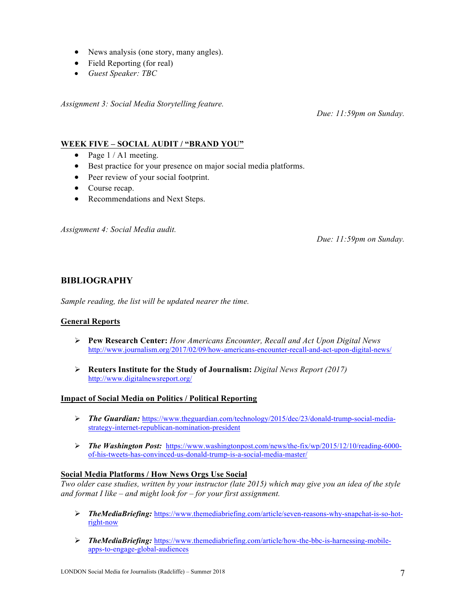- News analysis (one story, many angles).
- Field Reporting (for real)
- *Guest Speaker: TBC*

*Assignment 3: Social Media Storytelling feature.* 

*Due: 11:59pm on Sunday.*

# **WEEK FIVE – SOCIAL AUDIT / "BRAND YOU"**

- Page  $1 / A1$  meeting.
- Best practice for your presence on major social media platforms.
- Peer review of your social footprint.
- Course recap.
- Recommendations and Next Steps.

*Assignment 4: Social Media audit.* 

*Due: 11:59pm on Sunday.*

# **BIBLIOGRAPHY**

*Sample reading, the list will be updated nearer the time.*

### **General Reports**

- Ø **Pew Research Center:** *How Americans Encounter, Recall and Act Upon Digital News* http://www.journalism.org/2017/02/09/how-americans-encounter-recall-and-act-upon-digital-news/
- Ø **Reuters Institute for the Study of Journalism:** *Digital News Report (2017)* http://www.digitalnewsreport.org/

### **Impact of Social Media on Politics / Political Reporting**

- Ø *The Guardian:* https://www.theguardian.com/technology/2015/dec/23/donald-trump-social-mediastrategy-internet-republican-nomination-president
- Ø *The Washington Post:* https://www.washingtonpost.com/news/the-fix/wp/2015/12/10/reading-6000 of-his-tweets-has-convinced-us-donald-trump-is-a-social-media-master/

### **Social Media Platforms / How News Orgs Use Social**

*Two older case studies, written by your instructor (late 2015) which may give you an idea of the style and format I like – and might look for – for your first assignment.*

- Ø *TheMediaBriefing:* https://www.themediabriefing.com/article/seven-reasons-why-snapchat-is-so-hotright-now
- Ø *TheMediaBriefing:* https://www.themediabriefing.com/article/how-the-bbc-is-harnessing-mobileapps-to-engage-global-audiences